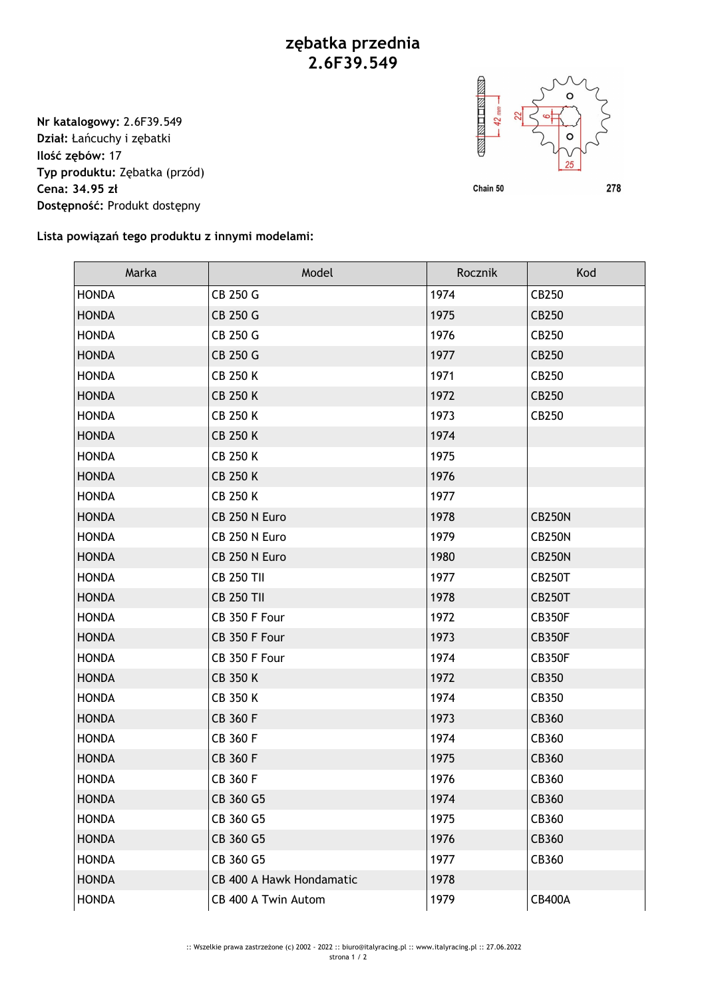## **zębatka przednia 2.6F39.549**

**Nr katalogowy:** 2.6F39.549 **Dział:** Łańcuchy i zębatki **Ilość zębów:** 17 **Typ produktu:** Zębatka (przód) **Cena: 34.95 zł Dostępność:** Produkt dostępny



**Lista powiązań tego produktu z innymi modelami:**

| Marka        | Model                    | Rocznik | Kod           |
|--------------|--------------------------|---------|---------------|
| <b>HONDA</b> | CB 250 G                 | 1974    | CB250         |
| <b>HONDA</b> | CB 250 G                 | 1975    | CB250         |
| <b>HONDA</b> | CB 250 G                 | 1976    | CB250         |
| <b>HONDA</b> | CB 250 G                 | 1977    | CB250         |
| <b>HONDA</b> | <b>CB 250 K</b>          | 1971    | CB250         |
| <b>HONDA</b> | <b>CB 250 K</b>          | 1972    | CB250         |
| <b>HONDA</b> | <b>CB 250 K</b>          | 1973    | CB250         |
| <b>HONDA</b> | <b>CB 250 K</b>          | 1974    |               |
| <b>HONDA</b> | <b>CB 250 K</b>          | 1975    |               |
| <b>HONDA</b> | <b>CB 250 K</b>          | 1976    |               |
| <b>HONDA</b> | <b>CB 250 K</b>          | 1977    |               |
| <b>HONDA</b> | CB 250 N Euro            | 1978    | <b>CB250N</b> |
| <b>HONDA</b> | CB 250 N Euro            | 1979    | <b>CB250N</b> |
| <b>HONDA</b> | CB 250 N Euro            | 1980    | <b>CB250N</b> |
| <b>HONDA</b> | <b>CB 250 TII</b>        | 1977    | <b>CB250T</b> |
| <b>HONDA</b> | <b>CB 250 TII</b>        | 1978    | <b>CB250T</b> |
| <b>HONDA</b> | CB 350 F Four            | 1972    | <b>CB350F</b> |
| <b>HONDA</b> | CB 350 F Four            | 1973    | <b>CB350F</b> |
| <b>HONDA</b> | CB 350 F Four            | 1974    | <b>CB350F</b> |
| <b>HONDA</b> | <b>CB 350 K</b>          | 1972    | CB350         |
| <b>HONDA</b> | CB 350 K                 | 1974    | CB350         |
| <b>HONDA</b> | CB 360 F                 | 1973    | CB360         |
| <b>HONDA</b> | CB 360 F                 | 1974    | CB360         |
| <b>HONDA</b> | CB 360 F                 | 1975    | CB360         |
| <b>HONDA</b> | CB 360 F                 | 1976    | CB360         |
| <b>HONDA</b> | CB 360 G5                | 1974    | CB360         |
| <b>HONDA</b> | CB 360 G5                | 1975    | CB360         |
| <b>HONDA</b> | CB 360 G5                | 1976    | CB360         |
| <b>HONDA</b> | CB 360 G5                | 1977    | CB360         |
| <b>HONDA</b> | CB 400 A Hawk Hondamatic | 1978    |               |
| <b>HONDA</b> | CB 400 A Twin Autom      | 1979    | <b>CB400A</b> |